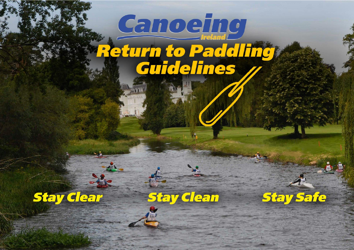# Canoeing Return to Paddling



**Stay Clean** 

**Stay Safe** 

07/06/2020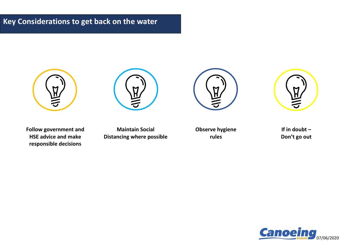## **Key Considerations to get back on the water**









**Follow government and HSE advice and make responsible decisions**

**Maintain Social Distancing where possible** **Observe hygiene rules**

**If in doubt – Don't go out**

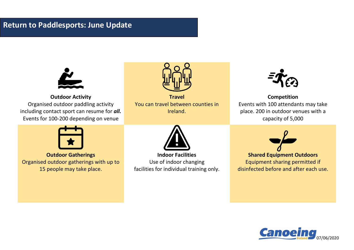## **Return to Paddlesports: June Update**



**Outdoor Activity** Organised outdoor paddling activity including contact sport can resume for *all.* Events for 100-200 depending on venue



**Travel** You can travel between counties in Ireland.



**Competition** Events with 100 attendants may take place. 200 in outdoor venues with a capacity of 5,000



**Executed**<br>Property Organised outdoor sports gatherings with 15 people may take place. **Outdoor Gatherings** Organised outdoor gatherings with up to 15 people may take place.



**At indeeps I dentited** Consideration required for underlying health in the unit of underlying health  $\sim$ facilities for individual training only. **Indoor Facilities** Use of indoor changing



**Tea Equipment Gata** Equipment sharing permitted in disinfected before and after each use. **Shared Equipment Outdoors** Equipment sharing permitted if

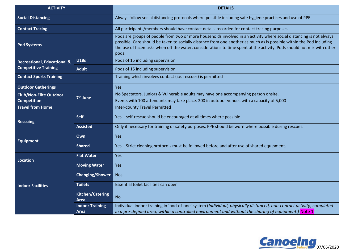| <b>ACTIVITY</b>                                                       |                                 | <b>DETAILS</b>                                                                                                                                                                                                                                                                                                                                                                |
|-----------------------------------------------------------------------|---------------------------------|-------------------------------------------------------------------------------------------------------------------------------------------------------------------------------------------------------------------------------------------------------------------------------------------------------------------------------------------------------------------------------|
| <b>Social Distancing</b>                                              |                                 | Always follow social distancing protocols where possible including safe hygiene practices and use of PPE                                                                                                                                                                                                                                                                      |
| <b>Contact Tracing</b>                                                |                                 | All participants/members should have contact details recorded for contact tracing purposes                                                                                                                                                                                                                                                                                    |
| <b>Pod Systems</b>                                                    |                                 | Pods are groups of people from two or more households involved in an activity where social distancing is not always<br>possible. Care should be taken to socially distance from one another as much as is possible within the Pod including<br>the use of facemasks when off the water, considerations to time spent at the activity. Pods should not mix with other<br>pods. |
| <b>Recreational, Educational &amp;</b><br><b>Competitive Training</b> | <b>U18s</b>                     | Pods of 15 including supervision                                                                                                                                                                                                                                                                                                                                              |
|                                                                       | <b>Adult</b>                    | Pods of 15 including supervision                                                                                                                                                                                                                                                                                                                                              |
| <b>Contact Sports Training</b>                                        |                                 | Training which involves contact (i.e. rescues) is permitted                                                                                                                                                                                                                                                                                                                   |
| <b>Outdoor Gatherings</b>                                             |                                 | Yes                                                                                                                                                                                                                                                                                                                                                                           |
| <b>Club/Non-Elite Outdoor</b><br><b>Competition</b>                   | 7 <sup>th</sup> June            | No Spectators. Juniors & Vulnerable adults may have one accompanying person onsite.                                                                                                                                                                                                                                                                                           |
|                                                                       |                                 | Events with 100 attendants may take place. 200 in outdoor venues with a capacity of 5,000                                                                                                                                                                                                                                                                                     |
| <b>Travel from Home</b>                                               |                                 | <b>Inter-county Travel Permitted</b>                                                                                                                                                                                                                                                                                                                                          |
| <b>Rescuing</b>                                                       | <b>Self</b>                     | Yes - self-rescue should be encouraged at all times where possible                                                                                                                                                                                                                                                                                                            |
|                                                                       | <b>Assisted</b>                 | Only if necessary for training or safety purposes. PPE should be worn where possible during rescues.                                                                                                                                                                                                                                                                          |
| <b>Equipment</b>                                                      | Own                             | Yes                                                                                                                                                                                                                                                                                                                                                                           |
|                                                                       | <b>Shared</b>                   | Yes - Strict cleaning protocols must be followed before and after use of shared equipment.                                                                                                                                                                                                                                                                                    |
| Location                                                              | <b>Flat Water</b>               | Yes                                                                                                                                                                                                                                                                                                                                                                           |
|                                                                       | <b>Moving Water</b>             | Yes                                                                                                                                                                                                                                                                                                                                                                           |
| <b>Indoor Facilities</b>                                              | <b>Changing/Shower</b>          | <b>Nos</b>                                                                                                                                                                                                                                                                                                                                                                    |
|                                                                       | <b>Toilets</b>                  | Essential toilet facilities can open                                                                                                                                                                                                                                                                                                                                          |
|                                                                       | Kitchen/Catering<br><b>Area</b> | <b>No</b>                                                                                                                                                                                                                                                                                                                                                                     |
|                                                                       | <b>Indoor Training</b>          | Individual indoor training in 'pod-of-one' system (Individual, physically distanced, non-contact activity, completed                                                                                                                                                                                                                                                          |
|                                                                       | Area                            | in a pre-defined area, within a controlled environment and without the sharing of equipment.) Note 1                                                                                                                                                                                                                                                                          |

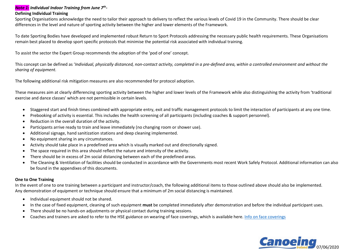### *Note 1: Individual Indoor Training from June 7th -*

#### **Defining Individual Training**

Sporting Organisations acknowledge the need to tailor their approach to delivery to reflect the various levels of Covid 19 in the Community. There should be clear differences in the level and nature of sporting activity between the higher and lower elements of the Framework.

To date Sporting Bodies have developed and implemented robust Return to Sport Protocols addressing the necessary public health requirements. These Organisations remain best placed to develop sport specific protocols that minimise the potential risk associated with individual training.

To assist the sector the Expert Group recommends the adoption of the 'pod of one' concept.

This concept can be defined as '*Individual, physically distanced, non-contact activity, completed in a pre-defined area, within a controlled environment and without the sharing of equipment.* 

The following additional risk mitigation measures are also recommended for protocol adoption.

These measures aim at clearly differencing sporting activity between the higher and lower levels of the Framework while also distinguishing the activity from 'traditional exercise and dance classes' which are not permissible in certain levels.

- Staggered start and finish times combined with appropriate entry, exit and traffic management protocols to limit the interaction of participants at any one time.
- Prebooking of activity is essential. This includes the health screening of all participants (including coaches & support personnel).
- Reduction in the overall duration of the activity.
- Participants arrive ready to train and leave immediately (no changing room or shower use).
- Additional signage, hand sanitization stations and deep cleaning implemented.
- No equipment sharing in any circumstances.
- Activity should take place in a predefined area which is visually marked out and directionally signed.
- The space required in this area should reflect the nature and intensity of the activity.
- There should be in excess of 2m social distancing between each of the predefined areas.
- The Cleaning & Ventilation of facilities should be conducted in accordance with the Governments most recent Work Safely Protocol. Additional information can also be found in the appendixes of this documents.

#### **One to One Training**

In the event of one to one training between a participant and instructor/coach, the following additional items to those outlined above should also be implemented. Any demonstration of equipment or technique should ensure that a minimum of 2m social distancing is maintained.

- Individual equipment should not be shared.
- In the case of fixed equipment, cleaning of such equipment **must** be completed immediately after demonstration and before the individual participant uses.
- There should be no hands-on adjustments or physical contact during training sessions.
- Coaches and trainers are asked to refer to the HSE guidance on wearing of face coverings, which is available here[. Info on face coverings](https://www2.hse.ie/conditions/coronavirus/face-coverings-masks-and-covid-19/when-to-wear.html)

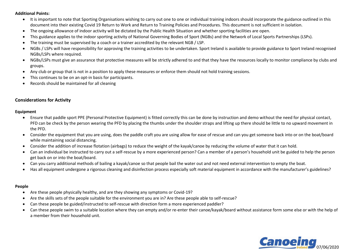#### **Additional Points:**

- It is important to note that Sporting Organisations wishing to carry out one to one or individual training indoors should incorporate the guidance outlined in this document into their existing Covid 19 Return to Work and Return to Training Policies and Procedures. This document is not sufficient in isolation.
- The ongoing allowance of indoor activity will be dictated by the Public Health Situation and whether sporting facilities are open.
- This guidance applies to the indoor sporting activity of National Governing Bodies of Sport (NGBs) and the Network of Local Sports Partnerships (LSPs).
- The training must be supervised by a coach or a trainer accredited by the relevant NGB / LSP.
- NGBs / LSPs will have responsibility for approving the training activities to be undertaken. Sport Ireland is available to provide guidance to Sport Ireland recognised NGBs/LSPs where required.
- NGBs/LSPs must give an assurance that protective measures will be strictly adhered to and that they have the resources locally to monitor compliance by clubs and groups.
- Any club or group that is not in a position to apply these measures or enforce them should not hold training sessions.
- This continues to be on an opt-in basis for participants.
- Records should be maintained for all cleaning

#### **Considerations for Activity**

#### **Equipment**

- Ensure that paddle sport PPE (Personal Protective Equipment) is fitted correctly this can be done by instruction and demo without the need for physical contact, PFD can be check by the person wearing the PFD by placing the thumbs under the shoulder straps and lifting up there should be little to no upward movement in the PFD.
- Consider the equipment that you are using, does the paddle craft you are using allow for ease of rescue and can you get someone back into or on the boat/board while maintaining social distancing.
- Consider the addition of increase flotation (airbags) to reduce the weight of the kayak/canoe by reducing the volume of water that it can hold.
- Can an individual be instructed to carry out a self-rescue by a more experienced person? Can a member of a person's household unit be guided to help the person get back on or into the boat/board.
- Can you carry additional methods of bailing a kayak/canoe so that people bail the water out and not need external intervention to empty the boat.
- Has all equipment undergone a rigorous cleaning and disinfection process especially soft material equipment in accordance with the manufacturer's guidelines?

#### **People**

- Are these people physically healthy, and are they showing any symptoms or Covid-19?
- Are the skills sets of the people suitable for the environment you are in? Are these people able to self-rescue?
- Can these people be guided/instructed to self-rescue with direction form a more experienced paddler?
- Can these people swim to a suitable location where they can empty and/or re-enter their canoe/kayak/board without assistance form some else or with the help of a member from their household unit.